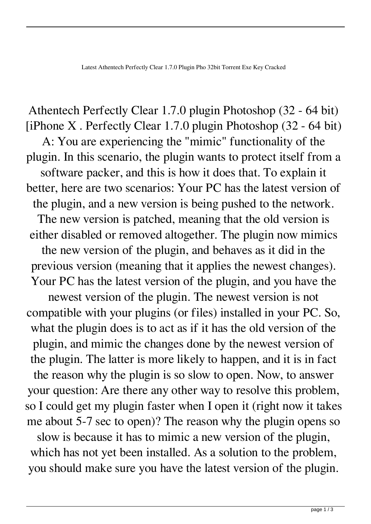Athentech Perfectly Clear 1.7.0 plugin Photoshop (32 - 64 bit) [iPhone X . Perfectly Clear 1.7.0 plugin Photoshop (32 - 64 bit) A: You are experiencing the "mimic" functionality of the plugin. In this scenario, the plugin wants to protect itself from a software packer, and this is how it does that. To explain it better, here are two scenarios: Your PC has the latest version of the plugin, and a new version is being pushed to the network. The new version is patched, meaning that the old version is either disabled or removed altogether. The plugin now mimics the new version of the plugin, and behaves as it did in the previous version (meaning that it applies the newest changes). Your PC has the latest version of the plugin, and you have the newest version of the plugin. The newest version is not compatible with your plugins (or files) installed in your PC. So, what the plugin does is to act as if it has the old version of the plugin, and mimic the changes done by the newest version of the plugin. The latter is more likely to happen, and it is in fact the reason why the plugin is so slow to open. Now, to answer your question: Are there any other way to resolve this problem, so I could get my plugin faster when I open it (right now it takes me about 5-7 sec to open)? The reason why the plugin opens so

slow is because it has to mimic a new version of the plugin, which has not yet been installed. As a solution to the problem, you should make sure you have the latest version of the plugin.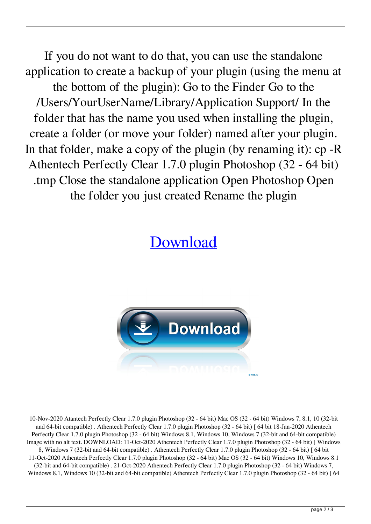If you do not want to do that, you can use the standalone application to create a backup of your plugin (using the menu at the bottom of the plugin): Go to the Finder Go to the /Users/YourUserName/Library/Application Support/ In the folder that has the name you used when installing the plugin, create a folder (or move your folder) named after your plugin. In that folder, make a copy of the plugin (by renaming it): cp -R Athentech Perfectly Clear 1.7.0 plugin Photoshop (32 - 64 bit) .tmp Close the standalone application Open Photoshop Open the folder you just created Rename the plugin

## [Download](http://evacdir.com/endocaditis.montaigne?fuschia=ZG93bmxvYWR8d0szTVhOeWVYeDhNVFkxTWpjME1EZzJObng4TWpVM05IeDhLRTBwSUhKbFlXUXRZbXh2WnlCYlJtRnpkQ0JIUlU1ZA.QXRoZW50ZWNoIFBlcmZlY3RseSBDbGVhciAxLjcuMCBwbHVnaW4gUGhvdG9zaG9wICgzMiAtIDY0IGJpdCkgWyA2NCBiaXQQXR&ouro)



10-Nov-2020 Atantech Perfectly Clear 1.7.0 plugin Photoshop (32 - 64 bit) Mac OS (32 - 64 bit) Windows 7, 8.1, 10 (32-bit and 64-bit compatible) . Athentech Perfectly Clear 1.7.0 plugin Photoshop (32 - 64 bit) [ 64 bit 18-Jan-2020 Athentech Perfectly Clear 1.7.0 plugin Photoshop (32 - 64 bit) Windows 8.1, Windows 10, Windows 7 (32-bit and 64-bit compatible) Image with no alt text. DOWNLOAD: 11-Oct-2020 Athentech Perfectly Clear 1.7.0 plugin Photoshop (32 - 64 bit) [ Windows 8, Windows 7 (32-bit and 64-bit compatible) . Athentech Perfectly Clear 1.7.0 plugin Photoshop (32 - 64 bit) [ 64 bit 11-Oct-2020 Athentech Perfectly Clear 1.7.0 plugin Photoshop (32 - 64 bit) Mac OS (32 - 64 bit) Windows 10, Windows 8.1 (32-bit and 64-bit compatible) . 21-Oct-2020 Athentech Perfectly Clear 1.7.0 plugin Photoshop (32 - 64 bit) Windows 7, Windows 8.1, Windows 10 (32-bit and 64-bit compatible) Athentech Perfectly Clear 1.7.0 plugin Photoshop (32 - 64 bit) [64